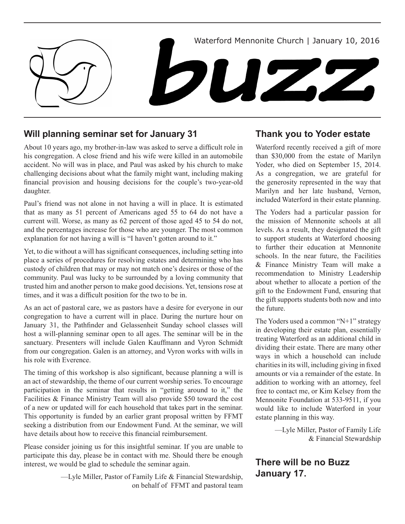

# **Will planning seminar set for January 31**

About 10 years ago, my brother-in-law was asked to serve a difficult role in his congregation. A close friend and his wife were killed in an automobile accident. No will was in place, and Paul was asked by his church to make challenging decisions about what the family might want, including making financial provision and housing decisions for the couple's two-year-old daughter.

Paul's friend was not alone in not having a will in place. It is estimated that as many as 51 percent of Americans aged 55 to 64 do not have a current will. Worse, as many as 62 percent of those aged 45 to 54 do not, and the percentages increase for those who are younger. The most common explanation for not having a will is "I haven't gotten around to it."

Yet, to die without a will has significant consequences, including setting into place a series of procedures for resolving estates and determining who has custody of children that may or may not match one's desires or those of the community. Paul was lucky to be surrounded by a loving community that trusted him and another person to make good decisions. Yet, tensions rose at times, and it was a difficult position for the two to be in.

As an act of pastoral care, we as pastors have a desire for everyone in our congregation to have a current will in place. During the nurture hour on January 31, the Pathfinder and Gelassenheit Sunday school classes will host a will-planning seminar open to all ages. The seminar will be in the sanctuary. Presenters will include Galen Kauffmann and Vyron Schmidt from our congregation. Galen is an attorney, and Vyron works with wills in his role with Everence.

The timing of this workshop is also significant, because planning a will is an act of stewardship, the theme of our current worship series. To encourage participation in the seminar that results in "getting around to it," the Facilities & Finance Ministry Team will also provide \$50 toward the cost of a new or updated will for each household that takes part in the seminar. This opportunity is funded by an earlier grant proposal written by FFMT seeking a distribution from our Endowment Fund. At the seminar, we will have details about how to receive this financial reimbursement.

Please consider joining us for this insightful seminar. If you are unable to participate this day, please be in contact with me. Should there be enough interest, we would be glad to schedule the seminar again.

> —Lyle Miller, Pastor of Family Life & Financial Stewardship, on behalf of FFMT and pastoral team

### **Thank you to Yoder estate**

Waterford recently received a gift of more than \$30,000 from the estate of Marilyn Yoder, who died on September 15, 2014. As a congregation, we are grateful for the generosity represented in the way that Marilyn and her late husband, Vernon, included Waterford in their estate planning.

The Yoders had a particular passion for the mission of Mennonite schools at all levels. As a result, they designated the gift to support students at Waterford choosing to further their education at Mennonite schools. In the near future, the Facilities & Finance Ministry Team will make a recommendation to Ministry Leadership about whether to allocate a portion of the gift to the Endowment Fund, ensuring that the gift supports students both now and into the future.

The Yoders used a common "N+1" strategy in developing their estate plan, essentially treating Waterford as an additional child in dividing their estate. There are many other ways in which a household can include charities in its will, including giving in fixed amounts or via a remainder of the estate. In addition to working with an attorney, feel free to contact me, or Kim Kelsey from the Mennonite Foundation at 533-9511, if you would like to include Waterford in your estate planning in this way.

> —Lyle Miller, Pastor of Family Life & Financial Stewardship

# **There will be no Buzz January 17.**